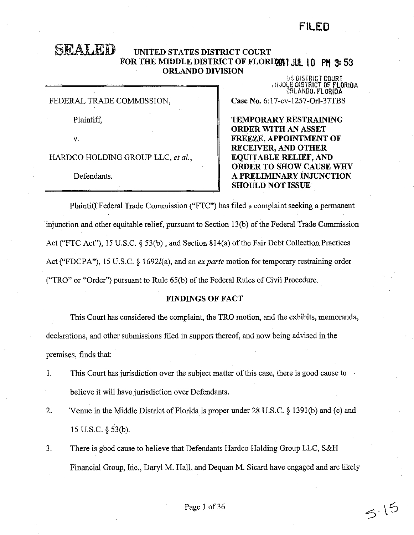# **FILED**

# **SEALED UNITED STATES DISTRICT COURT**  FOR THE MIDDLE DISTRICT OF FLORIDGE **JUL 10 PM 3:53 ORLANDO DIVISION** .

FEDERAL TRADE COMMISSION,

Plaintiff,

v.

HARDCO HOLDING GROUP LLC, *et al.,* 

Defendants.

l,5 OISTRICT COURT<br>11:JOLE DISTRICT OF FLORIDA, ORLANDO. FLORIDA **Case No.** 6:17-cv-1257-0rl-37TBS

**TEMPORARY RESTRAINING ORDER WITH AN ASSET FREEZE, APPOINTMENT OF RECEIVER, AND OTHER EQUITABLE RELIEF, AND ORDER TO SHOW CAUSE WHY A PRELIMINARY iNJUNCTION SHOULD NOT ISSUE** 

Plaintiff Federal Trade Commission ("FTC") has filed a complaint seeking a permanent injunction and other equitable relief, pursuant to Section 13(b) of the Federal Trade Commission Act ("FTC Act"), 15 U.S.C. § 53(b), and Section 814(a) of the Fair Debt Collection Practices Act ("FDCPA"), 15 U.S.C. § 1692/(a), and an *ex parte* motion for temporary restraining order ("TRO" or "Order") pursuant to Rule 65(b) of the Federal Rules of Civil Procedure.

# **FINDINGS OF FACT**

This Court has considered the complaint, the TRO motion, and the exhibits, memoranda, declarations, and other submissions filed in support thereof, and now being advised in the premises, finds that:

- 1. This Court has jurisdiction over the subject matter of this case, there is good cause to believe it will have jurisdiction over Defendants.
- 2. Venue in the Middle District of Florida is proper under 28 U.S.C. § 1391(b) and (c) and 15 u.s.c. § 53(b).
- 3. There is good cause to believe that Defendants Hardco Holding Group LLC, S&H Financial Group, Inc., Daryl M. Hall, and Dequan M. Sicard have engaged and are likely

 $5^{15}$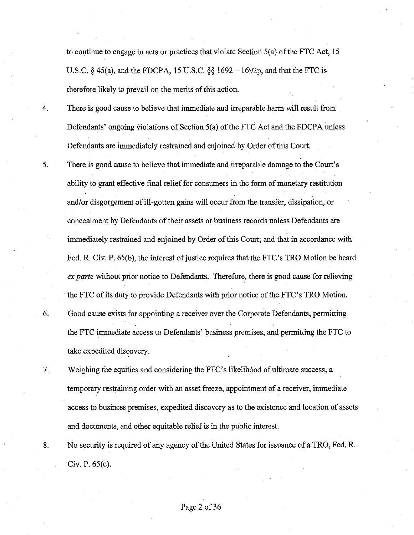to continue to engage in acts or practices that violate Section S(a) of the FTC Act, 15 U.S.C.  $\S$  45(a), and the FDCPA, 15 U.S.C.  $\S$ § 1692 - 1692p, and that the FTC is therefore likely to prevail on the merits of this action.

4. There is good cause to believe that immediate and irreparable harm will result from Defendants' ongoing violations of Section 5(a) of the FTC Act and the FDCPA unless Defendants are immediately restrained and enjoined by Order of this Court.

5. There is good cause to believe that immediate and irreparable damage to the Court's ability to grant effective final relief for consumers in the form of monetary restitution and/or disgorgement of ill-gotten gains will occur from the transfer, dissipation, or concealment by Defendants of their assets or business records unless Defendants are immediately restrained and enjoined by Order of this Court; and that in accordance with Fed. R. Civ. P. 65(b), the interest of justice requires that the FTC's TRO Motion be heard *ex parte* without prior notice to Defendants. Therefore, there is good cause for relieving the FTC of its duty to provide Defendants with prior notice of the FTC's TRO Motion.

6. Good cause exists for appointing a receiver over the Corporate Defendants, permitting the FTC immediate access to Defendants' business premises, and permitting the FTC to take expedited discovery.

7. Weighing the equities and considering the FTC's likelihood of ultimate success, a temporary restraining order with an asset freeze, appointment of a receiver, immediate access to business premises, expedited discovery as to the existence and location of assets and documents, and other equitable relief is in the public interest.

8. No security is required of any agency of the United States for issuance of a TRO, Fed. R. Civ. P. 65(c).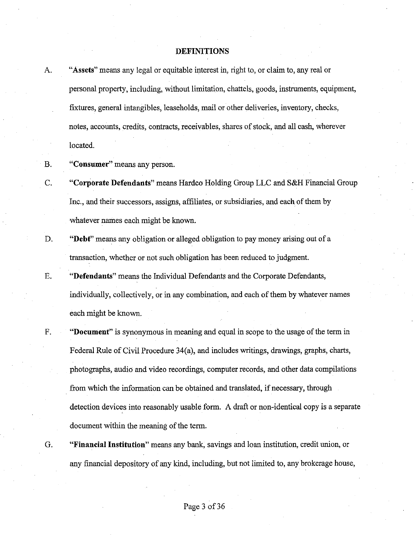#### **DEFINITIONS**

| A. | "Assets" means any legal or equitable interest in, right to, or claim to, any real or      |
|----|--------------------------------------------------------------------------------------------|
|    | personal property, including, without limitation, chattels, goods, instruments, equipment, |
|    | fixtures, general intangibles, leaseholds, mail or other deliveries, inventory, checks,    |
|    | notes, accounts, credits, contracts, receivables, shares of stock, and all cash, wherever  |
|    | located.                                                                                   |

- **B. "Consumer"** means any person.
- C. **"Corporate Defendants"** means Hardco Holding Group LLC and S&H Financial Group Inc., and their successors, assigns, affiliates, or subsidiaries, and each ofthem by whatever names each might be known.
- D. **"Debt"** means any obligation or alleged obligation to pay money arising out of a transaction, whether or not such obligation has been reduced to judgment.
- E. **"Defendants"** means the Individual Defendants and the Corporate Defendants, individually, collectively, or in any combination, and each of them by whatever names each might be known.
- F. **"Document"** is synonymous in meaning and equal in scope to the usage of the term in Federal Rule of Civil Procedure 34(a), and includes writings, drawings, graphs, charts, photographs, audio and video recordings, computer records, and other data compilations from which the information can be obtained and translated, if necessary, through detection devices into reasonably usable form. A draft or non-identical copy is a separate document within the meaning of the term.
- 

G. **"Financial Institution"** means any bank, savings and loan institution, credit union, or any financial depository of any kind, including, but not limited to, any brokerage house,

Page 3 of 36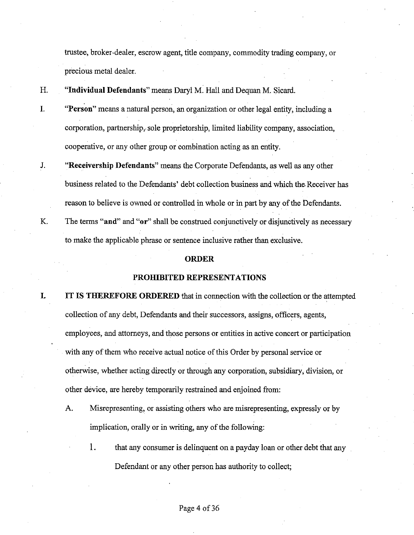trustee, broker-dealer, escrow agent, title company, commodity trading company, or precious metal dealer.

- H. **"Individual Defendants"** means Daryl M. Hall and Dequan M. Sicard.
- **I. "Person"** means a natural person, an organization or other legal entity, including a corporation, partnership, sole proprietorship, limited liability company, association, cooperative, or any other group or combination acting as an entity.
- J. **"Receivership Defendants"** means the Corporate Defendants, as well as any other business related to the Defendants' debt collection business and which the. Receiver has reason to believe is owned or controlled in whole or in part by any ofthe Defendants.
- K. The terms **"and" and "or"** shall be construed conjunctively or disjunctively as necessary to make the applicable phrase or sentence inclusive rather than exclusive.

#### **ORDER**

## **PROHIBITED REPRESENTATIONS**

- **I. IT IS THEREFORE ORDERED** that in connection with the collection or the attempted collection of any debt, Defendants and their successors, assigns, officers, agents, employees, and attorneys, and those persons or entities in active concert or participation with any of them who receive actual notice of this Order by personal service or otherwise, whether acting directly or through any corporation, subsidiary, division, or other device, are hereby temporarily restrained and enjoined from:
	- A. Misrepresenting, or assisting others who are misrepresenting, expressly or by implication, orally or in writing, any of the following:
		- 1. that any consumer is delinquent on a payday loan or other debt that any Defendant or any other person has authority to collect;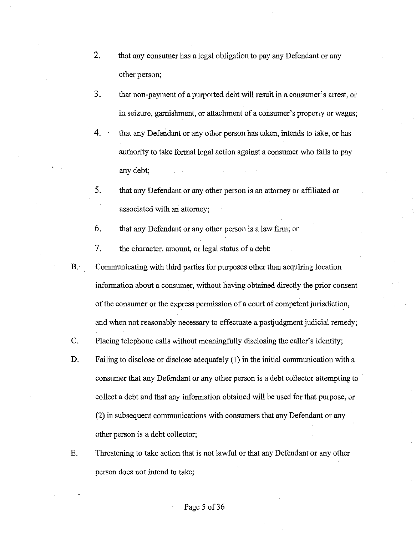- 2. that any consumer has a legal obligation to pay any Defendant or any other person;
- 3. that non-payment of a purported debt will result in a consumer's arrest, or in seizure, garnishment, or attachment of a consumer's property or wages;
- 4. that any Defendant or any other person has taken, intends to take, or has authority to take formal legal action against a consumer who fails to pay any debt;
- 5. that any Defendant or any other person is an attorney or affiliated or associated with an attorney;
- 6. that any Defendant or any other person is a law firm; or
- 7. the character, amount, or legal status of a debt;
- B. Communicating with third parties for purposes other than acquiring location information about a consumer, without having obtained directly the prior consent of the consumer or the express permission of a court of competent jurisdiction, and when not reasonably necessary to effectuate a postjudgment judicial remedy;
- C. Placing telephone calls without meaningfully disclosing the caller's identity;
- D. Failing to disclose or disclose adequately (1) in the initial communication with a consumer that any Defendant or any other person is a debt collector attempting to collect a debt and that any information obtained will be used for that purpose, or (2) in subsequent communications with consumers that any Defendant or any other person is a debt collector;
- E. Threatening to take action that is not lawful or that any Defendant or any other person does not intend to take;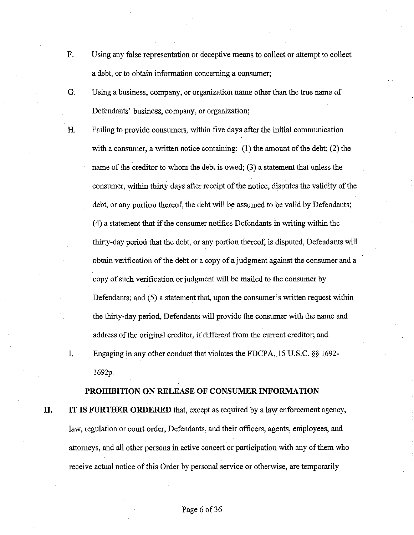- F. Using any false representation or deceptive means to collect or attempt to collect a debt, or to obtain information concerning a consumer;
- G. Using a business, company, or organization name other than the true name of Defendants' business, company, or organization;
- H. Failing to provide consumers, within five days after the initial communication with a consumer, a written notice containing: **(1)** the amount of the debt; (2) the name of the creditor to whom the debt is owed; (3) a statement that unless the consumer, within thirty days after receipt of the notice, disputes the validity of the debt, or any portion thereof, the debt will be assumed to be valid by Defendants; (4) a statement that if the consumer notifies Defendants in writing within the thirty-day period that the debt, or any portion thereof, is disputed, Defendants will obtain verification of the debt or a copy of a judgment against the consumer and a copy of such verification or judgment will be mailed to the consumer by Defendants; and (5) a statement that, upon the consumer's written request within the thirty-day period, Defendants will provide the consumer with the name and address of the original creditor, if different from the current creditor; and
- I. Engaging in any other conduct that violates the FDCPA, 15 U.S.C. *§§* 1692 1692p.

# **PROHIBITION ON RELEASE OF CONSUMER INFORMATION**

**II. IT IS FURTHER ORDERED** that, except as required by a law enforcement agency, law, regulation or court order, Defendants, and their officers, agents, employees, and attorneys, and all other persons in active concert or participation with any of them who receive actual notice of this Order by personal service or otherwise, are temporarily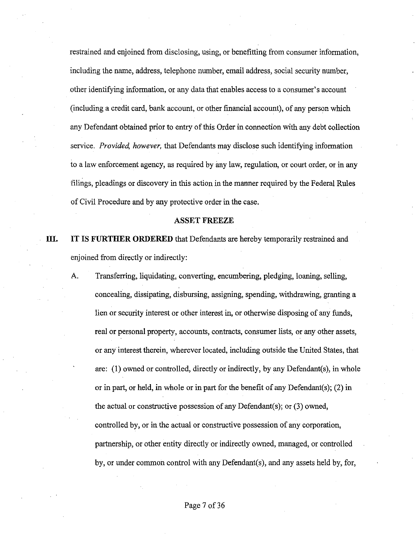restrained and enjoined from disclosing, using, or benefitting from consumer information, including the name, address, telephone number, email address, social security number, other identifying information, or any data that enables access to a consumer's account (including a credit card, bank account, or other financial account), of any person which any Defendant obtained prior to entry of this Order in connection with any debt collection service. *Provided, however,* that Defendants may disclose such identifying information to a law enforcement agency, as required by any law, regulation, or court order, or in any filings, pleadings or discovery in this action in the manner required by the Federal Rules of Civil Procedure and by any protective order in the case.

#### **ASSET FREEZE**

# **III.** IT IS FURTHER ORDERED that Defendants are hereby temporarily restrained and enjoined from directly or indirectly:

A. Transferring, liquidating, converting, encumbering, pledging, loaning, selling, concealing, dissipating, disbursing, assigning, spending, withdrawing, granting a lien or security interest or other interest in, or otherwise disposing of any funds, real or personal property, accounts, contracts, consumer lists, or any other assets, or any interest therein, wherever located, including outside the United States, that are: (1) owned or controlled, directly or indirectly, by any Defendant(s), in whole or in part, or held, in whole or in part for the benefit of any Defendant(s); (2) in the actual or constructive possession of any Defendant(s); or (3) owned, controlled by, or in the actual or constructive possession of any corporation, partnership, or other entity directly or indirectly owned, managed, or controlled by, or under common control with any Defendant(s), and any assets held by, for,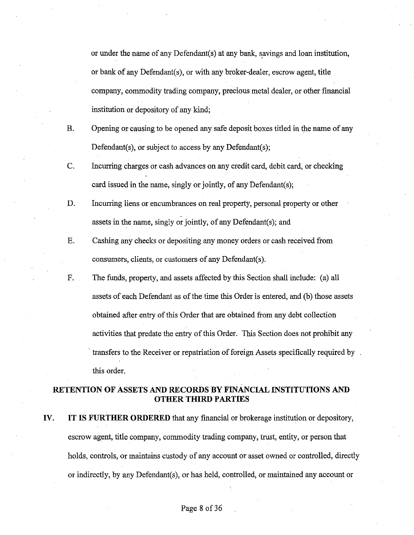or under the name of any Defendant(s) at any bank, savings and loan institution, or bank of any Defendant(s), or with any broker-dealer, escrow agent, title company, commodity trading company, precious metal dealer, or other financial institution or depository of any kind;

- B. Opening or causing to be opened any safe deposit boxes titled in the name of any Defendant(s), or subject to access by any Defendant(s);
- C. Incurring charges or cash advances on any credit card, debit card, or checking card issued in the name, singly or jointly, of any Defendant(s);
- D. Incurring liens or encumbrances on real property, personal property or other assets in the name, singly or jointly, of any Defendant(s); and
- E. Cashing any checks or depositing any money orders or cash received from consumers, clients, or customers of any Defendant(s).
- F. The funds, property, and assets affected by this Section shall include: (a) all assets of each Defendant as of the time this Order is entered, and (b) those assets obtained after entry of this Order that are obtained from any debt collection activities that predate the entry of this Order. This Section does not prohibit any transfers to the Receiver or repatriation of foreign Assets specifically required by. this order.

# **RETENTION OF ASSETS AND RECORDS BY FINANCIAL INSTITUTIONS AND OTHER THIRD PARTIES**

**IV. IT IS FURTHER ORDERED** that any financial or brokerage institution or depository, escrow agent, title company, commodity trading company, trust, entity, or person that holds, controls, or maintains custody of any account or asset owned or controlled, directly or indirectly, by any Defendant(s), or has held, controlled, or maintained any account or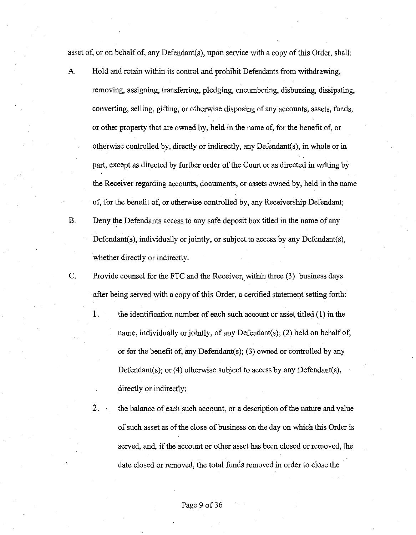asset of, or on behalf of, any Defendant $(s)$ , upon service with a copy of this Order, shall:

- A. Hold and retain within its control and prohibit Defendants from withdrawing, removing, assigning, transferring, pledging, encumbering, disbursing, dissipating, converting, selling, gifting, or otherwise disposing of any accounts, assets, funds, or other property that are owned by, held in the name of, for the benefit of, or otherwise controlled by, directly or indirectly, any Defendant(s), in whole or in part, except as directed by further order of the Court or as directed in writing by the Receiver regarding accounts, documents, or assets owned by, held in the name of, for the benefit of, or otherwise controlled by, any Receivership Defendant;
- B. Deny the Defendants access to any safe deposit box titled in the name of any Defendant(s), individually or jointly, or subject to access by any Defendant(s), whether directly or indirectly.
- C. Provide counsel for the FTC and the Receiver, within three (3) business days after being served with a copy of this Order, a certified statement setting forth:
	- 1. the identification number of each such account or asset titled (1) in the name, individually or jointly, of any Defendant(s); (2) held on behalf of, or for the benefit of, any Defendant(s); (3) owned or controlled by any Defendant(s); or (4) otherwise subject to access by any Defendant(s), directly or indirectly;
	- 2. the balance of each such account, or a description of the nature and value of such asset as of the close of business on the day on which this Order is served, and, if the account or other asset has been closed or removed, the date closed or removed, the total funds removed in order to close the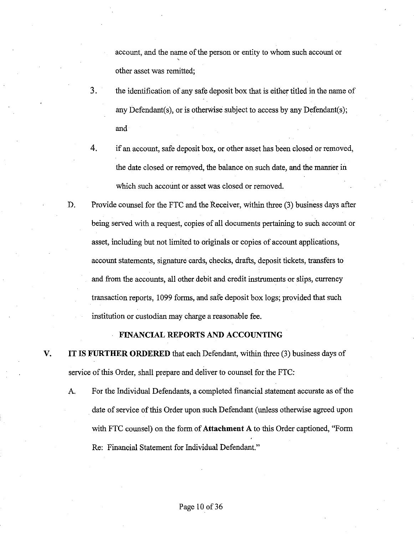account, and the name of the person or entity to whom such account or ' other asset was remitted;

- 3. the identification of any safe deposit box that is either titled in the name of any Defendant(s), or is otherwise subject to access by any Defendant(s); and
- 4. if an account, safe deposit box, or other asset has been closed or removed, the date closed or removed, the balance on such date, and the manner in which such account or asset was closed or removed.
- D. Provide counsel for the FTC and the Receiver, within three (3) business days after being served with a request, copies of all documents pertaining to such account or asset, including but not limited to originals or copies of account applications, account statements, signature cards, checks, drafts, deposit tickets, transfers to and from the accounts, all other debit and credit instruments or slips, currency transaction reports, 1099 forms, and safe deposit box logs; provided that such institution or custodian may charge a reasonable fee.

#### **FINANCIAL REPORTS AND ACCOUNTING**

- **V. IT IS FURTHER ORDERED** that each Defendant, within three (3) business days of service of this Order, shall prepare and deliver to counsel for the FTC:
	- A. For the Individual Defendants, a completed financial statement accurate as of the date of service of this Order upon such Defendant (unless otherwise agreed upon with FTC counsel) on the form of **Attachment A** to this Order captioned, "Form Re: Financial Statement for Individual Defendant."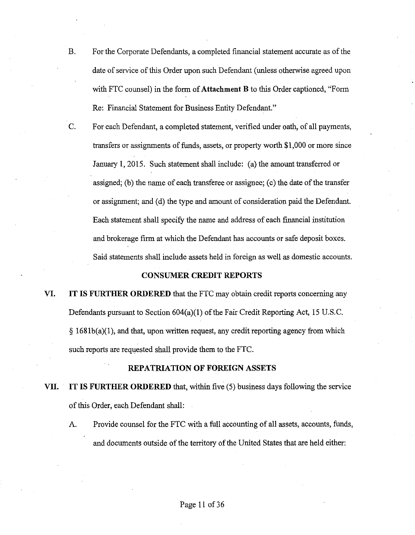B. For the Corporate Defendants, a completed financial statement accurate as of the date of service of this Order upon such Defendant (unless otherwise agreed upon with FTC counsel) in the form of **Attachment B** to this Order captioned, "Form Re: Financial Statement for Business Entity Defendant."

C. For each Defendant, a completed statement, verified under oath, of all payments, transfers or assignments of funds, assets, or property worth \$1,000 or more since January 1, 2015. Such statement shall include: (a) the amount transferred or assigned; (b) the name of each transferee or assignee; ( c) the date ofthe transfer or assignment; and (d) the type and amount of consideration paid the Defendant. Each statement shall specify the name and address of each financial institution and brokerage firm at which the Defendant has accounts or safe deposit boxes. Said statements shall include assets held in foreign as well as domestic accounts.

#### **CONSUMER CREDIT REPORTS**

**VI. IT IS FURTHER ORDERED** that the FTC may obtain credit reports concerning any Defendants pursuant to Section  $604(a)(1)$  of the Fair Credit Reporting Act, 15 U.S.C.  $\S$  1681b(a)(1), and that, upon written request, any credit reporting agency from which such reports are requested shall provide them to the FTC.

#### **REPATRIATION OF FOREIGN ASSETS**

- **VII. IT IS FURTHER ORDERED** that, within five (5) business days following the service of this Order, each Defendant shall:
	- A. Provide counsel for the FTC with a full accounting of all assets, accounts, funds, and documents outside of the territory of the United States that are held either: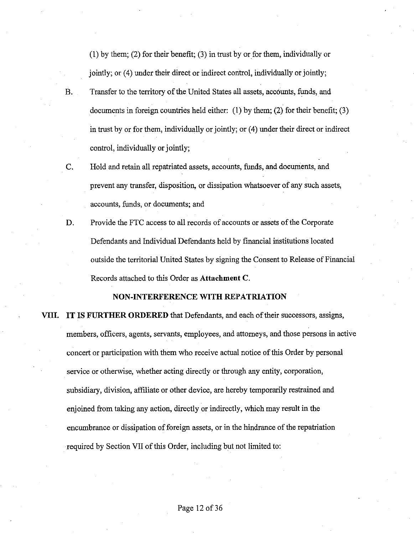(1) by them; (2) for their benefit; (3) in trust by or for them, individually or jointly; or (4) under their direct or indirect control, individually or jointly;

- B. Transfer to the territory of the United States all assets, accounts, funds, and documents in foreign countries held either: (1) by them; (2) for their benefit; (3) in trust by or for them, individually or jointly; or (4) under their direct or indirect control, individually or jointly;
- C. Hold and retain all repatriated assets, accounts, funds, and documents, and prevent any transfer, disposition, or dissipation whatsoever of any such assets, accounts, funds, or documents; and
- D. Provide the FTC access to all records of accounts or assets of the Corporate Defendants and Individual Defendants held by financial institutions located outside the territorial United States by signing the Consent to Release of Financial Records attached to this Order as **Attachment C.**

#### **NON-INTERFERENCE WITH REPATRIATION**

**VIII. IT IS FURTHER ORDERED** that Defendants, and each of their successors, assigns, members, officers, agents, servants, employees, and attorneys, and those persons in active concert or participation with them who receive actual notice ofthis Order by personal service or otherwise, whether acting directly or through any entity, corporation, subsidiary, division, affiliate or other device, are hereby temporarily restrained and enjoined from taking any action, directly or indirectly, which may result in the encumbrance or dissipation of foreign assets, or in the hindrance of the repatriation required by Section VII of this Order, including but not limited to: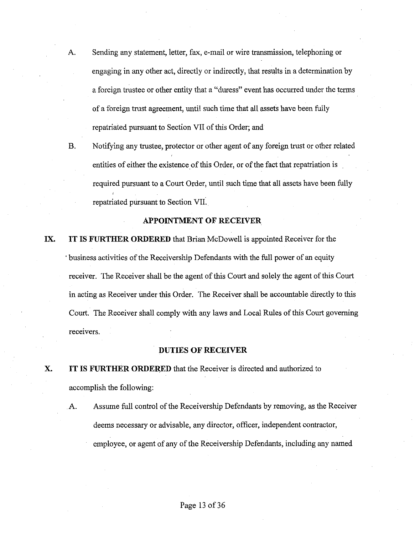- A. Sending any statement, letter, fax, e-mail or wire transmission, telephoning or engaging in any other act, directly or indirectly, that results in a determination by a foreign trustee or other entity that a "duress" event has occurred under the terms of a foreign trust agreement, until such time that all assets have been fully repatriated pursuant to Section VII of this Order; and
- B. Notifying any trustee, protector or other agent of any foreign trust or other related entities of either the existence of this Order, or of the fact that repatriation is required pursuant to a Court Order, until such time that all assets have been fully repatriated pursuant to Section VII.

#### **APPOINTMENT OF RECEIVER**

**IX. IT IS FURTHER ORDERED** that Brian McDowell is appointed Receiver for the · business activities of the Receivership Defendants with the full power of an equity receiver. The Receiver shall be the agent of this Court and solely the agent of this Court in acting as Receiver under this Order. The Receiver shall be accountable directly to this Court. The Receiver shall comply with any laws and Local Rules of this Court governing receivers.

#### **DUTIES OF RECEIVER**

**X. IT IS FURTHER ORDERED** that the Receiver is directed and authorized to accomplish the following:

.A. Assume full control of the Receivership Defendants by removing, as the Receiver deems necessary or advisable, any director, officer, independent contractor, employee, or agent of any of the Receivership Defendants, including any named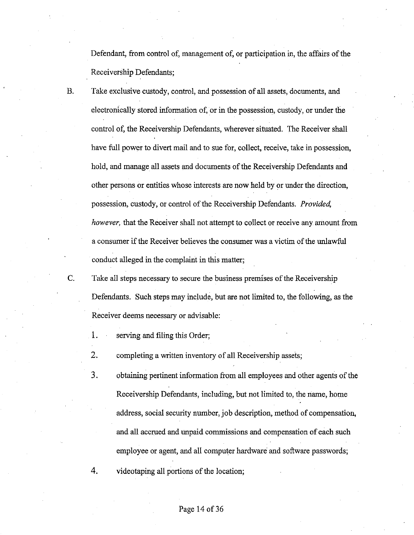Defendant, from control of, management of, or participation in, the affairs of the Receivership Defendants;

- B. Take exclusive custody, control, and possession of all assets, documents, and electronically stored information of, or in the possession, custody, or under the control of, the Receivership Defendants, wherever situated. The Receiver shall have full power to divert mail and to sue for, collect, receive, take in possession, hold, and manage all assets and documents of the Receivership Defendants and other persons or entities whose interests are now held by or under the direction, possession, custody, or control of the Receivership Defendants. *Provided, however,* that the Receiver shall not attempt to collect or receive any amount from a consumer ifthe Receiver believes the consumer was a victim ofthe unlawful conduct alleged in the complaint in this matter;
- C. Take all steps necessary to secure the business premises of the Receivership Defendants. Such steps may include, but are not limited to, the following, as the Receiver deems necessary or advisable:
	- 1. serving and filing this Order;
	- 2. completing a written inventory of all Receivership assets;
	- 3. obtaining pertinent information from all employees and other agents of the Receivership Defendants, including, but not limited to, the name, home address, social security number, job description, method of compensation, and all accrued and unpaid commissions and compensation of each such employee or agent, and all computer hardware and software passwords;
	- 4. videotaping all portions of the location;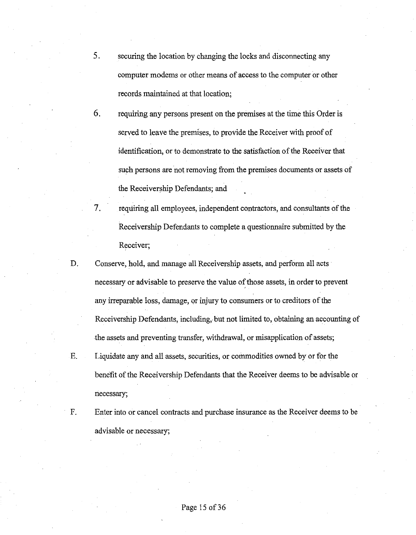- 5. securing the location by changing the locks and disconnecting any computer modems or other means of access to the computer or other records maintained at that location;
- 6. requiring any persons present on the premises at the time this Order is served to leave the premises, to provide the Receiver with proof of identification, or to demonstrate to the satisfaction of the Receiver that such persons are not removing from the premises documents or assets of the Receivership Defendants; and
- 7. requiring all employees, independent contractors, and consultants of the Receivership Defendants to complete a questionnaire submitted by the Receiver;
- D. Conserve, hold, and manage all Receivership assets, and perform all acts necessary or advisable to preserve the value of those assets, in order to prevent any irreparable loss, damage, or injury to consumers or to creditors of the Receivership Defendants, including, but not limited to, obtaining an accounting of the assets and preventing transfer, withdrawal, or misapplication of assets; E. Liquidate any and all assets, securities, or commodities owned by or for the

benefit of the Receivership Defendants that the Receiver deems to be advisable or necessary;

F. Enter into or cancel contracts and purchase insurance as the Receiver deems to be advisable or necessary;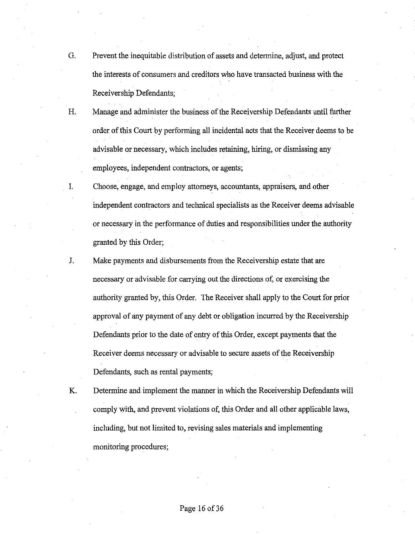- G. Prevent the inequitable distribution of assets and determine, adjust, and protect the interests of consumers and creditors who have transacted business with the Receivership Defendants;
- H. Manage and administer the business of the Receivership Defendants until further order ofthis Court by performing all incidental acts that the Receiver deems to be advisable or necessary, which includes retaining, hiring, or dismissing any employees, independent contractors, or agents;

I. Choose, engage, and employ attorneys, accountants, appraisers, and other independent contractors and technical specialists as the Receiver deems advisable or necessary in the performance of duties and responsibilities under the authority granted by this Order;

- J. Make payments and disbursements from the Receivership estate that are necessary or advisable for carrying out the directions of, or exercising the authority granted by, this Order. The Receiver shall apply to the Court for prior approval of any payment of any debt or obligation incurred by the Receivership Defendants prior to the date of entry of this Order, except payments that the Receiver deems necessary or advisable to secure assets of the Receivership Defendants, such as rental payments;
- K. Determine and implement the manner in which the Receivership Defendants will comply with, and prevent violations of, this Order and all other applicable laws, including, but not limited to, revising sales materials and implementing monitoring procedures;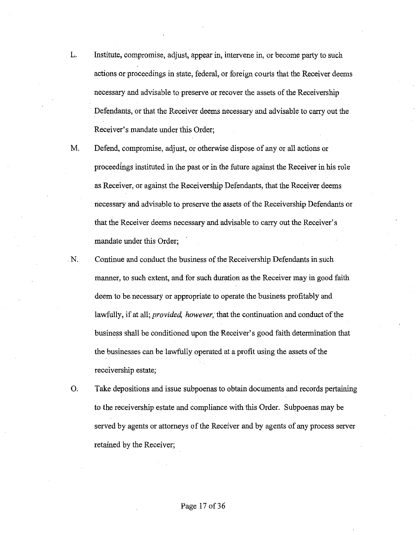- L. Institute, compromise, adjust, appear in, intervene in, or become party to such actions or proceedings in state, federal, or foreign courts that the Receiver deems necessary and advisable to preserve or recover the assets of the Receivership Defendants, or that the Receiver deems necessary and advisable to carry out the Receiver's mandate under this Order;
- M. Defend, compromise, adjust, or otherwise dispose of any or all actions or proceedings instituted in the past or in the future against the Receiver in his role as Receiver, or against the Receivership Defendants, that the Receiver deems necessary and advisable to preserve the assets of the Receivership Defendants or that the Receiver deems necessary and advisable to carry out the Receiver's mandate under this Order:
- . N. Continue and conduct the business of the Receivership Defendants in such manner, to such extent, and for such duration as the Receiver may in good faith deem to be necessary or appropriate to operate the business profitably and lawfully, if at all; *provided, however;* that the continuation and conduct of the business shall be conditioned upon the Receiver's good faith determination that the businesses can be lawfully operated at a profit using the assets of the receivership estate;
- 0. Take depositions and issue subpoenas to obtain documents and records pertaining to the receivership estate and compliance with this Order. Subpoenas may be served by agents or attorneys of the Receiver and by agents of any process server retained by the Receiver;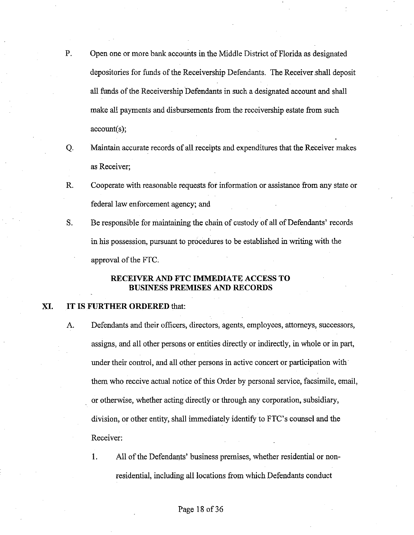- P. Open one or more bank accounts in the Middle District of Florida as designated depositories for funds of the Receivership Defendants. The Receiver shall deposit all funds of the Receivership Defendants in such a designated account and shall make all payments and disbursements from the receivership estate from such account(s);
- Q. Maintain accurate records of all receipts and expenditures that the Receiver makes as Receiver;
- R. Cooperate with reasonable requests for information or assistance from any state or federal law enforcement agency; and
- S. Be responsible for maintaining the chain of custody of all of Defendants' records in his possession, pursuant to procedures to be established in writing with the approval of the FTC:

# **RECEIVER AND FTC IMMEDIATE ACCESS TO BUSINESS PREMISES AND RECORDS**

#### **XI. IT IS FURTHER ORDERED** that:

- A. Defendants and their officers, directors, agents, employees, attorneys, successors, assigns, and all other persons or entities directly or indirectly, in whole or in part, under their control, and all other persons in active concert or participation with them who receive actual notice of this Order by personal service, facsimile, email, or otherwise, whether acting directly or through any corporation, subsidiary, division, or other entity, shall immediately identify to FTC's counsel and the Receiver:
	- 1. All of the Defendants' business premises, whether residential or nonresidential, including all locations from which Defendants conduct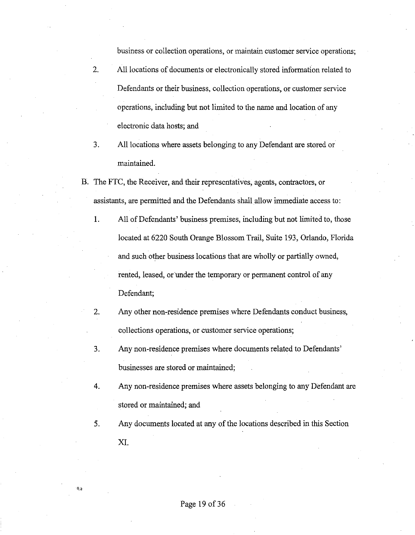business or collection operations, or maintain customer service operations;

- 2. All locations of documents or electronically stored information related to Defendants or their business, collection operations, or customer service operations, including but not limited to the name and location of any electronic data hosts; and
- 3. All locations where assets belonging to any Defendant are stored or maintained.
- B. The FTC, the Receiver, and their representatives, agents, contractors, or assistants, are permitted and the Defendants shall allow immediate access to:
	- 1. All of Defendants' business premises, including but not limited to, those located at 6220 South Orange Blossom Trail, Suite 193, Orlando, Florida and such other business locations that are wholly or partially owned, rented, leased, or under the temporary or permanent control of any Defendant;
	- 2. Any other non-residence premises where Defendants conduct business, collections operations, or customer service operations;
	- 3. Any non-residence premises where documents related to Defendants' businesses are stored or maintained;
	- 4. Any non-residence premises where assets belonging to any Defendant are stored or maintained; and
	- 5. Any documents located at any of the locations described in this Section XI.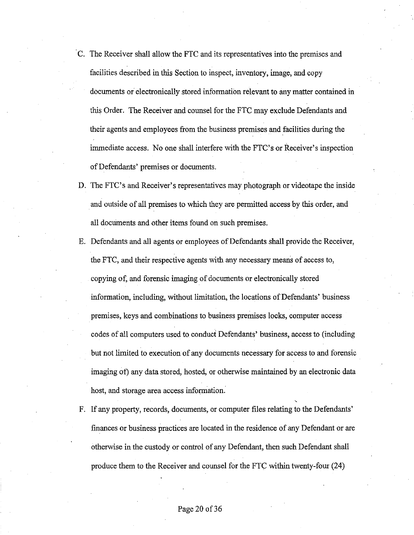- · C. The Receiver shall allow the FTC and its representatives into the premises and facilities described in this Section to inspect, inventory, image, and copy documents or electronically stored information relevant to any matter contained in this Order. The Receiver and counsel for the FTC may exclude Defendants and their agents and employees from the business premises and facilities during the immediate access. No one shall interfere with the FTC's or Receiver's inspection of Defendants' premises or documents.
- D. The FTC's and Receiver's representatives may photograph or videotape the inside and outside of all premises to which they are permitted access by this order, and all documents and other items found on such premises.
- E. Defendants and all agents or employees of Defendants shall provide the Receiver, the FTC, and their respective agents with any necessary means of access to, copying of, and forensic imaging of documents or electronically stored information, including, without limitation, the locations of Defendants' business premises, keys and combinations to business premises locks, computer access codes of all computers used to conduct Defendants' business, access to (including but not limited to execution of any documents necessary for access to and forensic imaging of) any data stored, hosted, or otherwise maintained by an electronic data host, and storage area access information.
- F. If any property, records, documents, or computer files relating to the Defendants' finances or business practices are located in the residence of any Defendant or are otherwise in the custody or control of any Defendant, then such Defendant shall produce them to the Receiver and counsel for the FTC within twenty-four (24)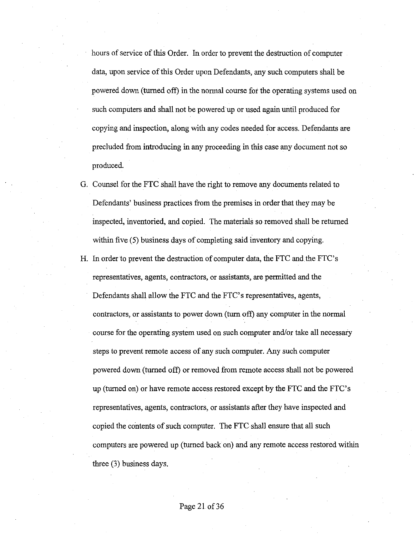hours of service of this Order. In order to prevent the destruction of computer data, upon service ofthis Order upon Defendants, any such computers shall be powered down (turned off) in the normal course for the operating systems used on such computers and shall not be powered up or used again until produced for copying and inspection, along with any codes needed for access. Defendants are precluded from introducing in any proceeding in this case any document not so produced.

- G. Counsel for the FTC shall have the right to remove any documents related to Defendants' business practices from the premises in order that they may be inspected, inventoried, and copied. The materials so removed shall be returned within five (5) business days of completing said inventory and copying.
- H. In order to prevent the destruction of computer data, the FTC and the FTC's representatives, agents, contractors, or assistants, are permitted and the Defendants shall allow the FTC and the FTC's representatives, agents, contractors, or assistants to power down (turn oft) any computer in the normal course for the operating system used on such computer and/or take all necessary steps to prevent remote access of any such computer. Any such computer powered down (turned off) or removed from remote access shall not be powered up (turned on) or have remote access restored except by the FTC and the FTC's representatives, agents, contractors, or assistants after they have inspected and copied the contents of such computer. The FTC shall ensure that all such computers are powered up (turned back on) and any remote access restored within three (3) business days.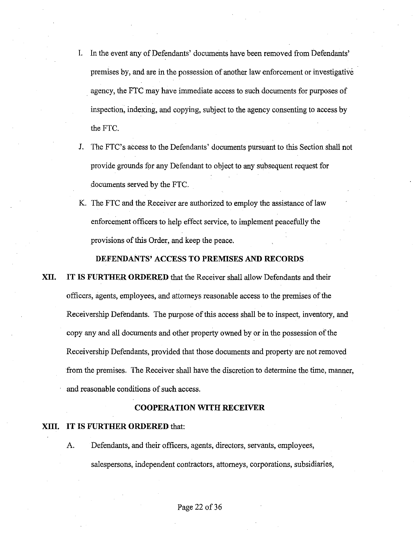- I. In the event any of Defendants' documents have been removed from Defendants' premises by, and are in the possession of another law enforcement or investigative agency, the FTC may have immediate access to such documents for purposes of inspection, indexing, and copying, subject to the agency consenting to access by the FTC.
- J. The FTC's access to the Defendants' documents pursuant to this Section shall not provide grounds for any Defendant to object to any subsequent request for documents served by the FTC.
- K. The FTC and the Receiver are authorized to employ the assistance of law enforcement officers to help effect service, to implement peacefully the provisions of this Order, and keep the peace.

#### **DEFENDANTS' ACCESS TO PREMISES AND RECORDS**

**XII. IT IS FURTHER ORDERED** that the Receiver shall allow Defendants and their officers, agents, employees, and attorneys reasonable access to the premises of the Receivership Defendants. The purpose of this access shall be to inspect, inventory, and copy any and all documents and other property owned by or in the possession ofthe Receivership Defendants, provided that those documents and property are not removed from the premises. The Receiver shall have the discretion to determine the time, manner, and reasonable conditions of such access.

# **COOPERATION WITH RECEIVER**

# **XIII. IT IS FURTHER ORDERED** that:

A. Defendants, and their officers, agents, directors, servants, employees, salespersons, independent contractors, attorneys, corporations, subsidiaries,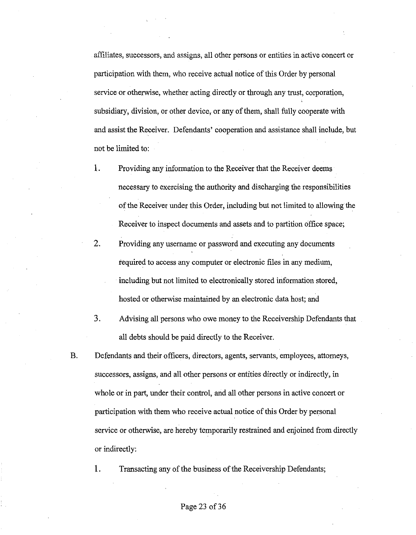affiliates, successors, and assigns, all other persons or entities in active concert or participation with them, who receive actual notice of this Order by personal service or otherwise, whether acting directly or through any trust, corporation, subsidiary, division, or other device, or any of them, shall fully cooperate with and assist the Receiver. Defendants' cooperation and assistance shall include, but not be limited to:

- 1. Providing any information to the Receiver that the Receiver deems necessary to exercising the authority and discharging the responsibilities of the Receiver under this Order, including but not limited to allowing the Receiver to inspect documents and assets and to partition office space;
- 2. Providing any usemame or password and executing any documents required to access any computer or electronic files in any medium, including but not limited to electronically stored information stored, hosted or otherwise maintained by an electronic data host; and
- 3. Advising all persons who owe money to the Receivership Defendants that all debts should be paid directly to the Receiver.
- B. Defendants and their officers, directors, agents, servants, employees, attorneys, successors, assigns, and all other persons or entities directly or indirectly, in whole or in part, under their control, and all other persons in active concert or participation with them who receive actual notice of this Order by personal service or otherwise, are hereby temporarily restrained and enjoined from directly or indirectly:
	- 1. Transacting any of the business of the Receivership Defendants;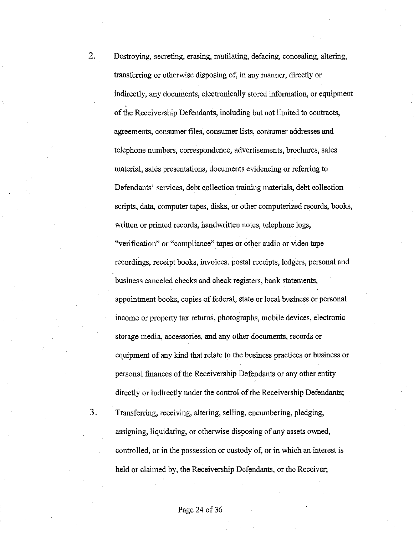- 2. Destroying, secreting, erasing, mutilating, defacing, concealing, altering, transferring or otherwise disposing of, in any manner, directly or indirectly, any documents, electronically stored information, or equipment of the Receivership Defendants, including but not limited to contracts, agreements, consumer files, consumer lists, consumer addresses and telephone numbers, correspondence, advertisements, brochures, sales material, sales presentations, documents evidencing or referring to Defendants' services, debt collection training materials, debt collection scripts, data, computer tapes, disks, or other computerized records, books, written or printed records, handwritten notes, telephone logs, "verification" or "compliance" tapes or other audio or video tape recordings, receipt books, invoices, postal receipts, ledgers, personal and business canceled checks and check registers, bank statements, appointment books, copies of federal, state or local business or personal income or property tax returns, photographs, mobile devices, electronic storage media, accessories, and any other documents, records or equipment of any kind that relate to the business practices or business or personal finances of the Receivership Defendants or any other entity directly or indirectly under the control of the Receivership Defendants;
- 3. Transferring, receiving, altering, selling, encumbering, pledging, assigning, liquidating, or otherwise disposing of any assets owned, controlled, or in the possession or custody of, or in which an interest is held or claimed by, the Receivership Defendants, or the Receiver;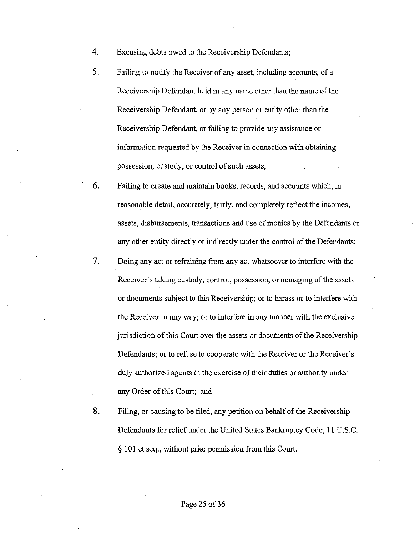- 4. Excusing debts owed to the Receivership Defendants;
- 5. Failing to notify the Receiver of any asset, including accounts, of a Receivership Defendant held in any name other than the name of the Receivership Defendant, or by any person or entity other than the Receivership Defendant, or failing to provide any assistance or information requested by the Receiver in connection with obtaining possession, custody, or control of such assets;
- 6. Failing to create and maintain books, records, and accounts which, in reasonable detail, accurately, fairly, and completely reflect the incomes, assets, disbursements, transactions and use of monies by the Defendants or any other entity directly or indirectly under the control of the Defendants;
- 7. Doing any act or refraining from any act whatsoever to interfere with the Receiver's taking custody, control, possession, or managing of the assets or documents subject to this Receivership; or to harass or to interfere with the Receiver in any way; or to interfere in any manner with the exclusive jurisdiction of this Court over the assets or documents of the Receivership Defendants; or to refuse to cooperate with the Receiver or the Receiver's duly authorized agents in the exercise of their duties or authority under any Order of this Court; and
- 8. Filing, or causing to be filed, any petition on behalf of the Receivership Defendants for relief under the United States Bankruptcy Code, 11 U.S.C. § 101 et seq., without prior permission from this Court.

#### Page 25 of 36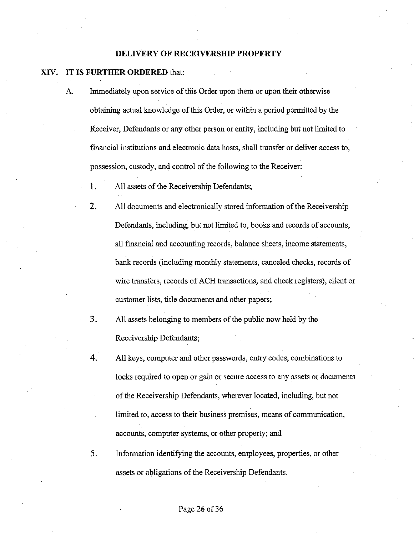#### **DELIVERY OF RECEIVERSHIP PROPERTY**

#### XIV. **IT IS FURTHER ORDERED** that:

- A. Immediately upon service of this Order upon them or upon their otherwise obtaining actual knowledge of this Order, or within a period permitted by the Receiver, Defendants or any other person or entity, including but not limited to financial institutions and electronic data hosts, shall transfer or deliver access to, possession, custody, and control of the following to the Receiver:
	- 1. All assets of the Receivership Defendants;
	- 2. All documents and electronically stored information of the Receivership Defendants, including, but not limited to, books and records of accounts, all financial and accounting records, balance sheets, income statements, bank records (including monthly statements, canceled checks, records of wire transfers, records of ACH transactions, and check registers), client or customer lists, title documents and other papers;
	- 3. All assets belonging to members of the public now held by the Receivership Defendants;
	- 4. All keys, computer and other passwords, entry codes, combinations to locks required to open or gain or secure access to any assets or documents of the Receivership Defendants, wherever located, including, but not limited to, access to their business premises, means of communication, accounts, computer systems, or other property; and
	- 5. Information identifying the accounts, employees, properties, or other assets or obligations of the Receivership Defendants.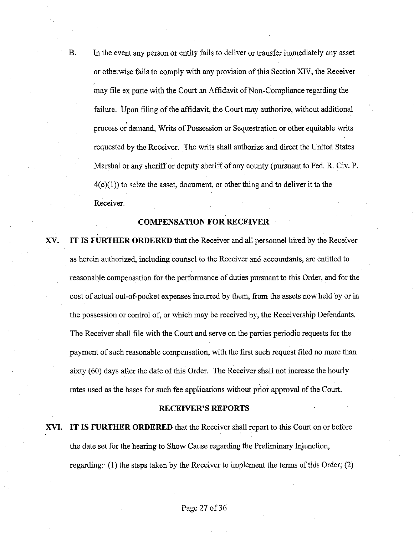B. In the event any person or entity fails to deliver or transfer immediately any asset or otherwise fails to comply with any provision of this Section XIV, the Receiver may file ex parte with the Court an Affidavit of Non-Compliance regarding the failure. Upon filing of the affidavit, the Court may authorize, without additional process or demand, Writs of Possession or Sequestration or other equitable writs requested by the Receiver. The writs shall authorize and direct the United States Marshal or any sheriff or deputy sheriff of any county (pursuant to Fed. R. Civ. P.  $4(c)(1)$ ) to seize the asset, document, or other thing and to deliver it to the Receiver.

# **COMPENSATION FOR RECEIVER**

**XV. IT IS FURTHER ORDERED** that the Receiver and all personnel hired by the Receiver as herein authorized, including counsel to the Receiver and accountants, are entitled to reasonable compensation for the performance of duties pursuant to this Order, and for the cost of actual out-of-pocket expenses incurred by them, from the assets now held by or in the possession or control of, or which may be received by, the Receivership Defendants. The Receiver shall file with the Court and serve on the parties periodic requests for the payment of such reasonable compensation, with the first such request filed no more than sixty (60) days after the date of this Order. The Receiver shall not increase the hourly rates used as the bases for such fee applications without prior approval of the Court.

#### **RECEIVER'S REPORTS**

**XVI. IT IS FURTHER ORDERED** that the Receiver shall report to this Court on or before the date set for the hearing to Show Cause regarding the Preliminary Injunction, regarding: (1) the steps taken by the Receiver to implement the terms of this Order; (2)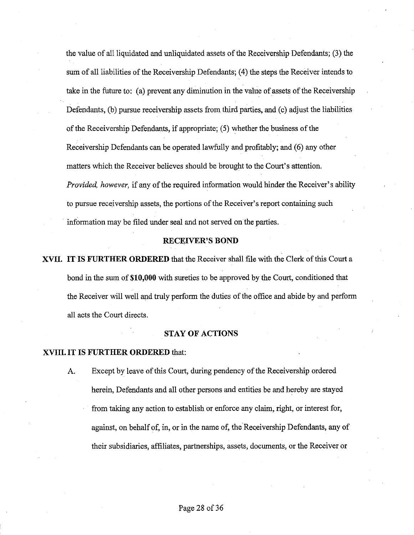the value of all liquidated and unliquidated assets of the Receivership Defendants; (3) the sum of all liabilities of the Receivership Defendants; (4) the steps the Receiver intends to take in the future to: (a) prevent any diminution in the value of assets of the Receivership Defendants, (b) pursue receivership assets from third parties, and (c) adjust the liabilities of the Receivership Defendants, if appropriate; (5) whether the business of the Receivership Defendants can be operated lawfully and profitably; and (6) any other matters which the Receiver believes should be brought to the Court's attention. *Provided, however,* if any of the required information would hinder the Receiver's ability to pursue receivership assets, the portions of the Receiver's report containing such information may be filed under seal and not served on the parties.

#### **RECEIVER'S BOND**

**XVII. ITIS FURTHER ORDERED** that the Receiver shall file with the Clerk of this Court a bond in the sum of **\$10,000** with sureties to be approved by the Court, conditioned that the Receiver will well and truly perform the duties of the office and abide by and perform all acts the Court directs.

# **STAY OF ACTIONS**

#### **XVIII. IT IS FURTHER ORDERED** that:

A. Except by leave of this Court, during pendency of the Receivership ordered herein, Defendants and all other persons and entities be and hereby are stayed from taking any action to establish or enforce any claim, right, or interest for, against, on behalf of, in, or in the name of, the Receivership Defendants, any of their subsidiaries, affiliates, partnerships, assets, documents, or the Receiver or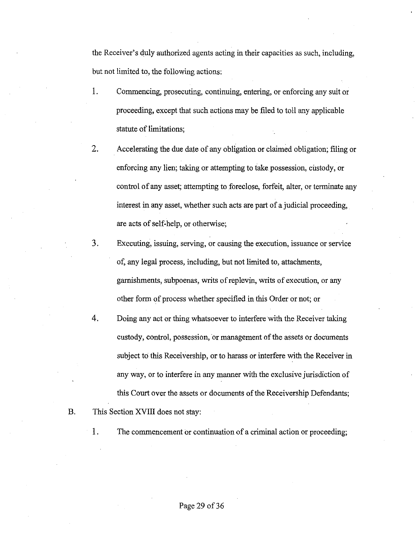the Receiver's duly authorized agents acting in their capacities as such, including, but not limited to, the following actions:

- 1. Commencing, prosecuting, continuing, entering, or enforcing any suit or proceeding, except that such actions may be filed to toll any applicable statute of limitations;
- 2. Accelerating the due date of any obligation or claimed obligation; filing or enforcing any lien; taking or attempting to take possession, custody, or control of any asset; attempting to foreclose, forfeit, alter, or terminate any interest in any asset, whether such acts are part of a judicial proceeding, are acts of self-help, or otherwise;
- 3. Executing, issuing, serving, or causing the execution, issuance or service of, any legal process, including, but not limited to, attachments, garnishments, subpoenas, writs of replevin, writs of execution, or any other form of process whether specified in this Order or not; or
- 4. Doing any act or thing whatsoever to interfere with the Receiver taking custody, control, possession, or management of the assets or documents subject to this Receivership, or to harass or interfere with the Receiver in any way, or to interfere in any manner with the exclusive jurisdiction of this Court over the assets or documents of the Receivership Defendants;
- B. This Section XVIII does not stay:
	-

1. The commencement or continuation of a criminal action or proceeding;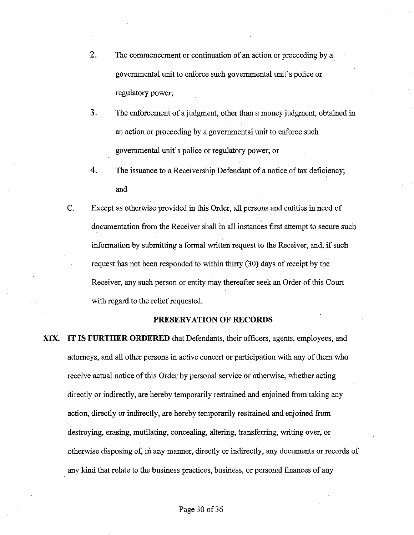- 2. The commencement or continuation of an action or proceeding by a governmental unit to enforce such governmental unit's police or regulatory power;
- 3. The enforcement of a judgment, other than a money judgment, obtained in an action or proceeding by a governmental unit to enforce such governmental unit's police or regulatory power; or
- 4. The issuance to a Receivership Defendant of a notice of tax deficiency; and
- C. Except as otherwise provided in this Order, all persons and entities in need of documentation from the Receiver shall in all instances first attempt to secure such information by submitting a formal written request to the Receiver, and, if such request has not been responded to within thirty (30) days of receipt by the Receiver, any such person or entity may thereafter seek an Order of this Court with regard to the relief requested.

#### **PRESERVATION OF RECORDS**

**XIX.**  IT IS **FURTHER ORDERED** that Defendants, their officers, agents, employees, and attorneys, and all other persons in active concert or participation with any of them who receive actual notice of this Order by personal service or otherwise, whether acting directly or indirectly, are hereby temporarily restrained and enjoined from taking any action, directly or indirectly, are hereby temporarily restrained and enjoined from destroying, erasing, mutilating, concealing, altering, transferring, writing over, or otherwise disposing of, in any manner, directly or indirectly, any documents or records of any kind that relate to the business practices, business, or personal finances of any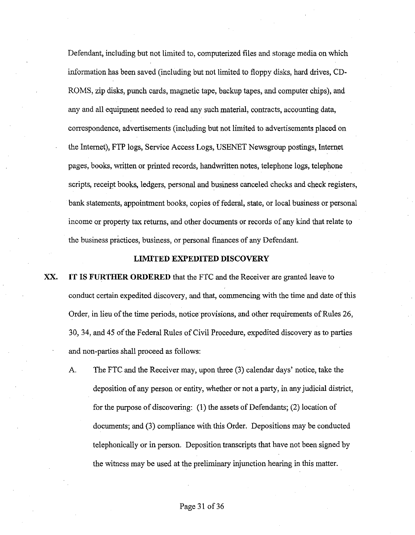Defendant, including but not limited to, computerized files and storage media on which information has been saved (including but not limited to floppy disks, hard drives, CD-ROMS, zip disks, punch cards, magnetic tape, backup tapes, and computer chips), and any and all equipment needed to read any such material, contracts, accounting data, correspondence, advertisements (including but not limited to advertisements placed on the Internet), FTP logs, Service Access Logs, USENET Newsgroup postings, Internet pages, books, written or printed records, handwritten notes, telephone logs, telephone scripts, receipt books, ledgers, personal and business canceled checks and check registers, bank statements, appointment books, copies of federal, state, or local business or personal income or property tax returns, and other documents or records of any kind that relate to the business practices, business, or personal finances of any Defendant.

#### **LIMITED EXPEDITED DISCOVERY**

- **XX. IT IS FURTHER ORDERED** that the FTC and the Receiver are granted leave to conduct certain expedited discovery, and that, commencing with the time and date of this Order, in lieu of the time periods, notice provisions, and other requirements of Rules 26, 30, 34, and 45 of the Federal Rules of Civil Procedure, expedited discovery as to parties and non-parties shall proceed as follows:
	- A The FTC and the Receiver may, upon three (3) calendar days' notice, take the deposition of any person or entity, whether or not a party, in any judicial district, for the purpose of discovering: (1) the assets of Defendants; (2) location of documents; and (3) compliance with this Order. Depositions may be conducted telephonically or in person. Deposition transcripts that have not been signed by the witness may be used at the preliminary injunction hearing in this matter.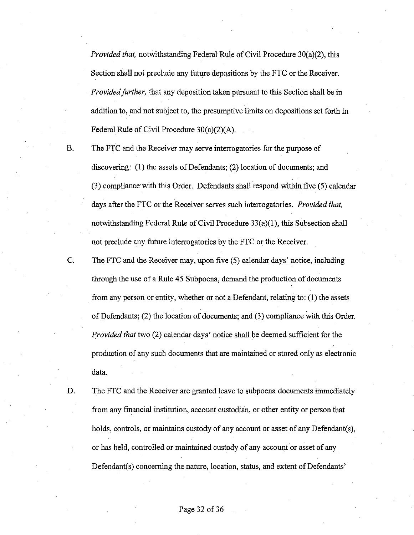*Provided that,* notwithstanding Federal Rule of Civil Procedure 30(a)(2), this Section shall not preclude any future depositions by the FTC or the Receiver. *Provided farther,* that any deposition taken pursuant to this Section shall be in addition to, and not subject to, the presumptive limits on depositions set forth in Federal Rule of Civil Procedure 30(a)(2)(A).

B. The FTC and the Receiver may serve interrogatories for the purpose of discovering:  $(1)$  the assets of Defendants;  $(2)$  location of documents; and (3) compliance· with this Order. Defendants shall respond within five (5) calendar days after the FTC or the Receiver serves such interrogatories. *Provided that,*  notwithstanding Federal Rule of Civil Procedure  $33(a)(1)$ , this Subsection shall not preclude any future interrogatories by the FTC or the Receiver.

C. The FTC and the Receiver may, upon five (5) calendar days' notice, including through the use of a Rule 45 Subpoena, demand the production of documents from any person or entity, whether or not a Defendant, relating to: (1) the assets of Defendants; (2) the location of documents; and (3) compliance with this Order. *Provided that* two (2) calendar days' notice shall be deemed sufficient for the production of any such documents that are maintained or stored only as electronic data.

D. The FTC and the Receiver are granted leave to subpoena documents immediately from any financial institution, account custodian, or other entity or person that holds, controls, or maintains custody of any account or asset of any Defendant(s), or has held, controlled or maintained custody of any account or asset of any Defendant(s) concerning the nature, location, status, and extent of Defendants'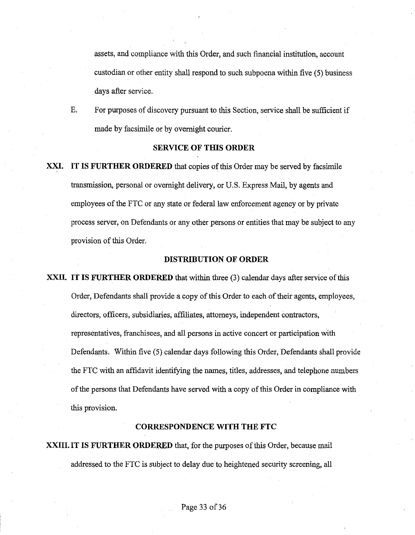assets, and compliance with this Order, and such financial institution, account custodian or other entity shall respond to such subpoena within five (5) business days after service.

E. For purposes of discovery pursuant to this Section, service shall be sufficient if made by facsimile or by overnight courier.

# **SERVICE OF THIS ORDER**

**XXI. IT IS FURTHER ORDERED** that copies of this Order may be served by facsimile transmission, personal or overnight delivery, or U.S. Express Mail, by agents and employees ofthe FTC or any state or federal law enforcement agency or by private process server, on Defendants or any other persons or entities that may be subject to any provision of this Order.

# **DISTRIBUTION OF ORDER**

**XXII. IT IS FURTHER ORDERED** that within three (3) calendar days after service of this Order, Defendants shall provide a copy of this Order to each of their agents, employees, directors, officers, subsidiaries, affiliates, attorneys, independent contractors, representatives, franchisees, and all persons in active concert or participation with Defendants, Within five (5) calendar days following this Order, Defendants shall provide the FTC with an affidavit identifying the names, titles, addresses, and telephone numbers of the persons that Defendants have served with a copy of this Order in compliance with this provision.

# **CORRESPONDENCE WITH THE FTC**

**XXIII. IT IS FURTHER ORDERED** that, for the purposes of this Order, because mail addressed to the FTC is subject to delay due to heightened security screening, all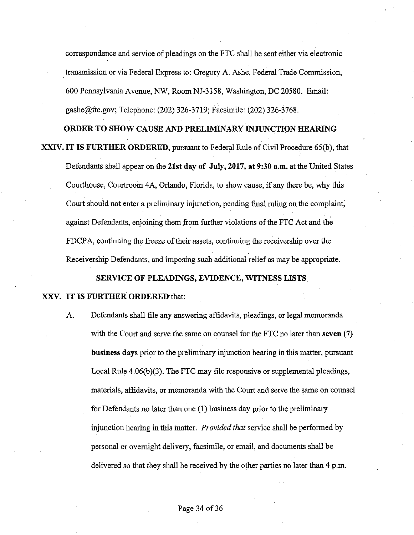correspondence and service of pleadings on the FTC shall be sent either via electronic . transmission or via Federal Express to: Gregory A. Ashe, Federal Trade Commission, 600 Pennsylvania Avenue, NW, Room NJ-3158, Washington, DC 20580. Email: gashe@ftc.gov; Telephone: (202) 326-3719; Facsimile: (202) 326-3768.

# **ORDER TO SHOW CAUSE AND PRELIMINARY INJUNCTION HEARING**

**XXIV. IT IS FURTHER ORDERED, pursuant to Federal Rule of Civil Procedure 65(b), that** 

Defendants shall appear on the **21st day of July, 2017, at 9:30 a.m.** at the United States Courthouse, Courtroom 4A, Orlando, Florida, to show cause, if any there be, why this Court should not enter a preliminary injunction, pending final ruling on the complaint; against Defendants, enjoining them from further violations of the FTC Act and the FDCPA, continuing the freeze of their assets, continuing the receivership over the Receivership Defendants, and imposing such additional relief as may be appropriate.

#### **SERVlCE OF PLEADINGS, EVIDENCE, WITNESS LISTS**

#### **XXV. IT IS FURTHER ORDERED** that:

A. Defendants shall file any answering affidavits, pleadings, or legal memoranda with the Court and serve the same on counsel for the FTC no later than **seven (7) business days** prior to the preliminary injunction hearing in this matter, pursuant Local Rule  $4.06(b)(3)$ . The FTC may file responsive or supplemental pleadings, materials, affidavits, or memoranda with the Court and serve the same on counsel for Defendants no later than one (1) business day prior to the preliminary injunction hearing in this matter. *Provided that* service shall be performed by personal or overnight delivery, facsimile, or email, and documents shall be delivered so that they shall be received by the other parties no later than 4 p.m.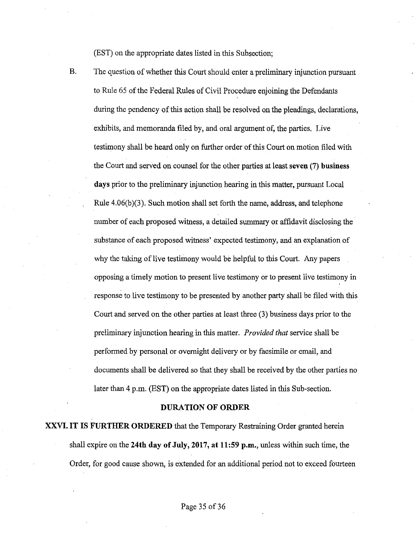(EST) on the appropriate dates listed in this Subsection;

B. The question of whether this Court should enter a preliminary injunction pursuant to Rule 65 of the Federal Rules of Civil Procedure enjoining the Defendants during the pendency of this action shall be resolved on the pleadings, declarations, exhibits, and memoranda filed by, and oral argument of, the parties. Live testimony shall be heard only on further order ofthis Court on motion filed with the Court and served on counsel for the other parties at least **seven (7) business days** prior to the preliminary injunction hearing in this matter, pursuant Local Rule 4.06(b)(3). Such motion shall set forth the name, address, and telephone number of each proposed witness, a detailed summary or affidavit disclosing the substance of each proposed witness' expected testimony, and an explanation of why the taking of live testimony would be helpful to this Court. Any papers opposing a timely motion to present live testimony or to present live testimony in response to live testimony to be presented by another party shall be filed with this Court and served on the other parties at least three (3) business days prior to the preliminary injunction hearing in this matter. *Provided that* service shall be performed by personal or overnight delivery or by facsimile or email, and documents shall be delivered so that they shall be received by the other parties no later than 4 p.m. (EST) on the appropriate dates listed in this Sub-section.

#### **DURATION OF ORDER**

**XXVI. IT IS FURTHER ORDERED** that the Temporary Restraining Order granted herein shall expire on the **24th day of July, 2017, at 11:59 p.m.,** unless within such time, the Order, for good cause shown, is extended for an additional period not to exceed fourteen